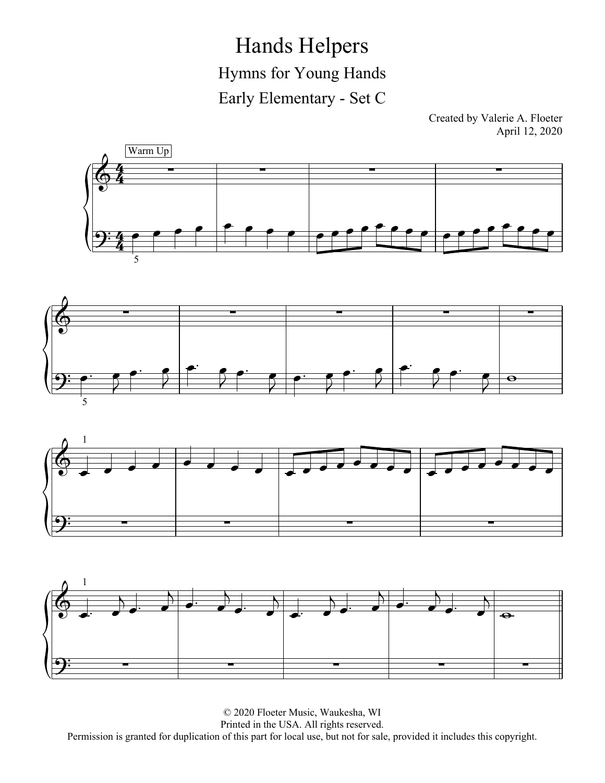Hands Helpers Hymns for Young Hands Early Elementary - Set C

Created by Valerie A. Floeter April 12, 2020







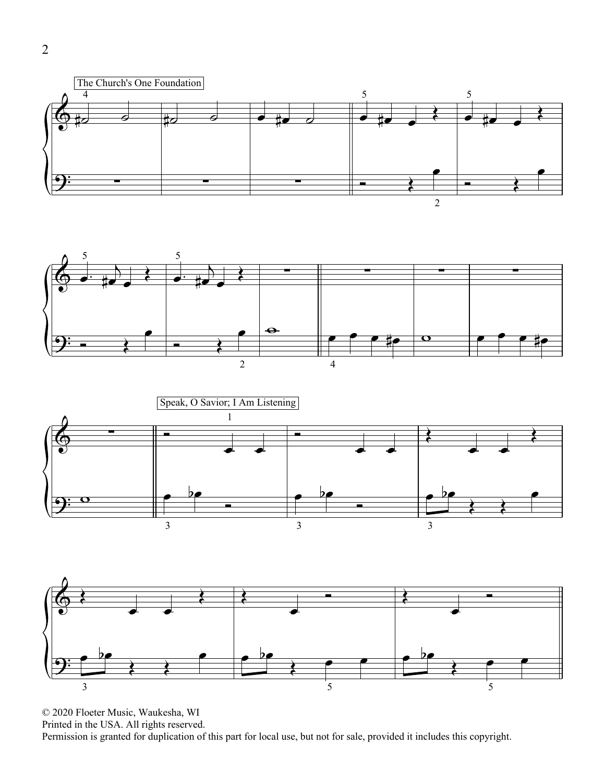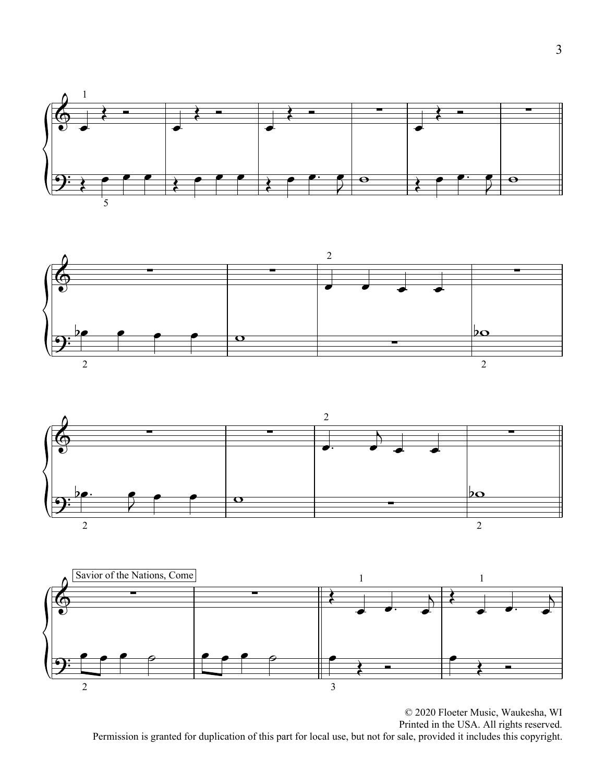





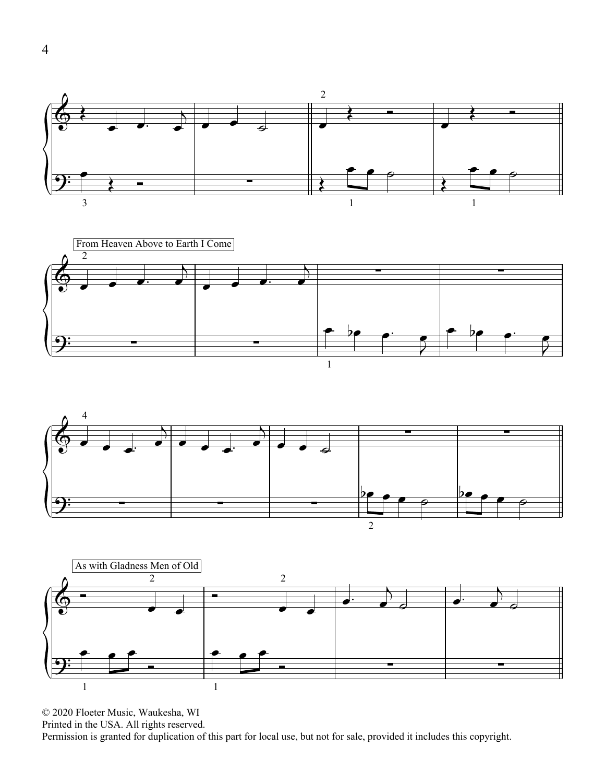





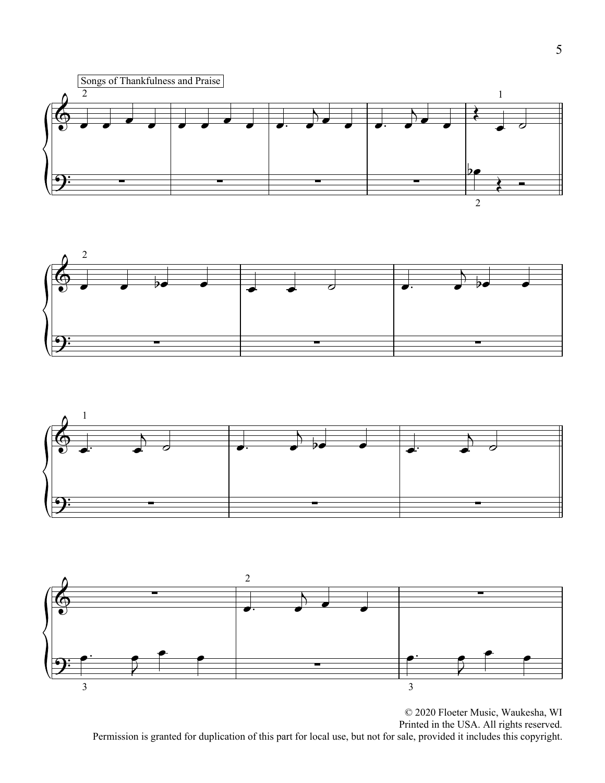





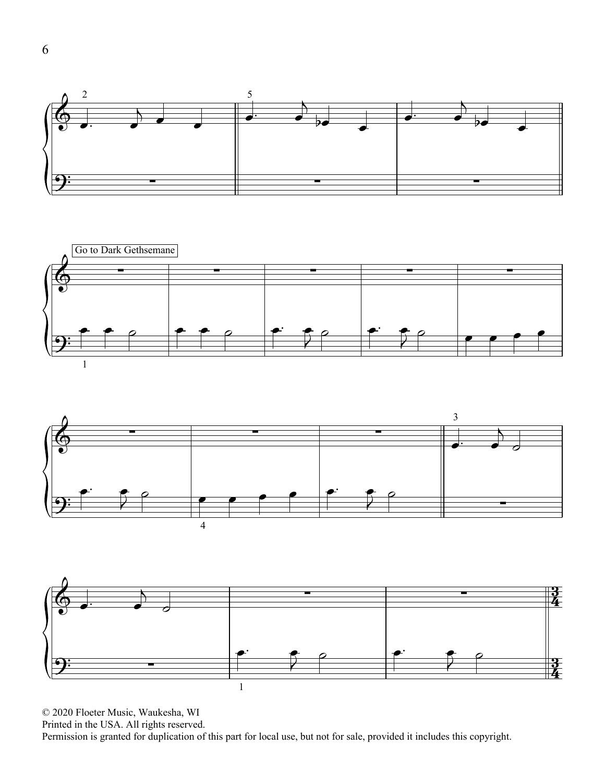





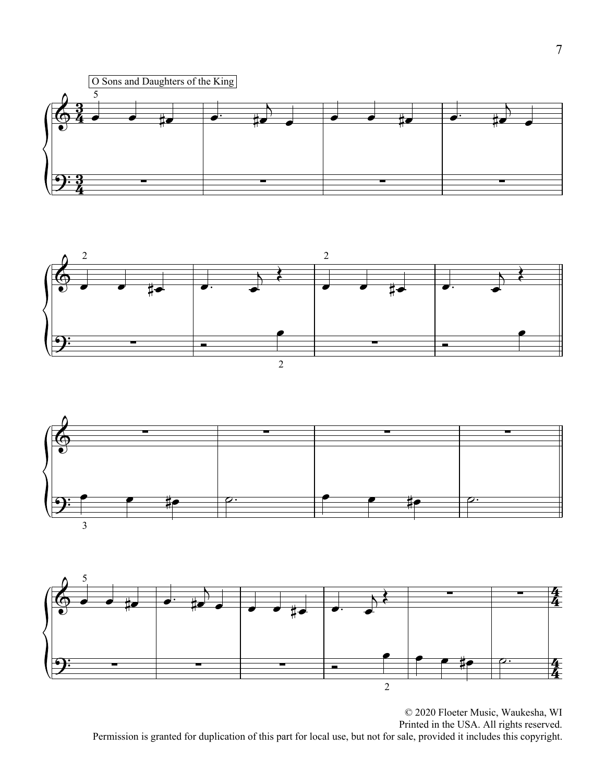





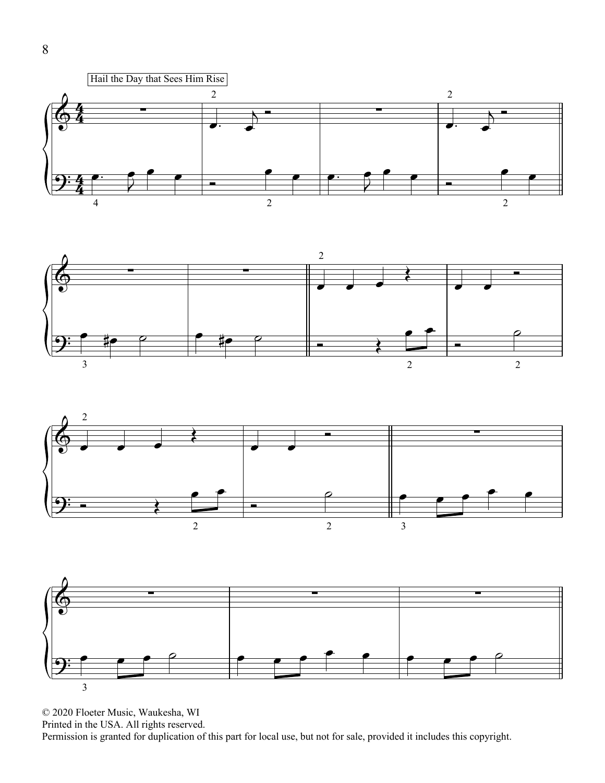





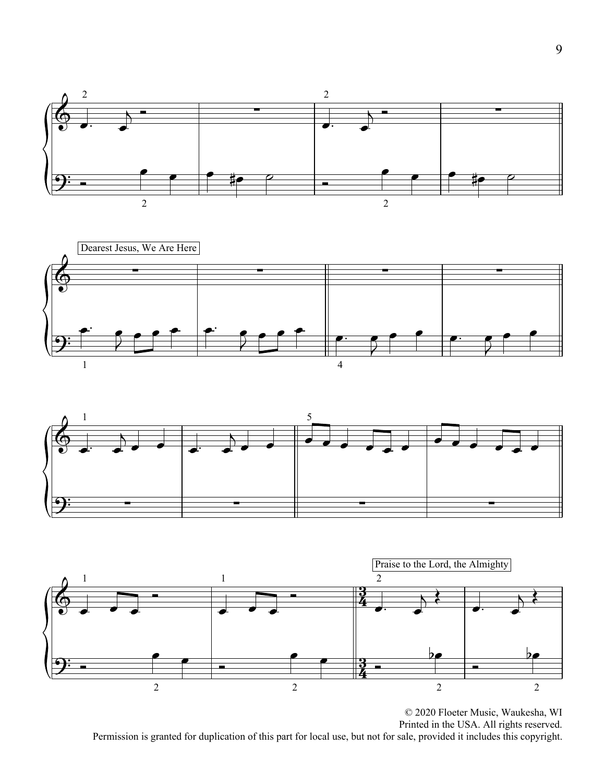